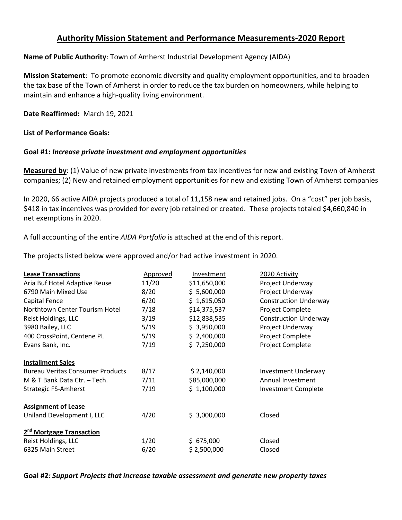## **Authority Mission Statement and Performance Measurements-2020 Report**

### **Name of Public Authority**: Town of Amherst Industrial Development Agency (AIDA)

**Mission Statement**: To promote economic diversity and quality employment opportunities, and to broaden the tax base of the Town of Amherst in order to reduce the tax burden on homeowners, while helping to maintain and enhance a high-quality living environment.

**Date Reaffirmed:** March 19, 2021

#### **List of Performance Goals:**

#### **Goal #1:** *Increase private investment and employment opportunities*

**Measured by**: (1) Value of new private investments from tax incentives for new and existing Town of Amherst companies; (2) New and retained employment opportunities for new and existing Town of Amherst companies

In 2020, 66 active AIDA projects produced a total of 11,158 new and retained jobs. On a "cost" per job basis, \$418 in tax incentives was provided for every job retained or created. These projects totaled \$4,660,840 in net exemptions in 2020.

A full accounting of the entire *AIDA Portfolio* is attached at the end of this report.

The projects listed below were approved and/or had active investment in 2020.

| <b>Lease Transactions</b>               | Approved | Investment   | 2020 Activity                |  |  |  |  |
|-----------------------------------------|----------|--------------|------------------------------|--|--|--|--|
| Aria Buf Hotel Adaptive Reuse           | 11/20    | \$11,650,000 | Project Underway             |  |  |  |  |
| 6790 Main Mixed Use                     | 8/20     | \$5,600,000  | Project Underway             |  |  |  |  |
| Capital Fence                           | 6/20     | \$1,615,050  | <b>Construction Underway</b> |  |  |  |  |
| Northtown Center Tourism Hotel          | 7/18     | \$14,375,537 | Project Complete             |  |  |  |  |
| Reist Holdings, LLC                     | 3/19     | \$12,838,535 | <b>Construction Underway</b> |  |  |  |  |
| 3980 Bailey, LLC                        | 5/19     | \$3,950,000  | Project Underway             |  |  |  |  |
| 400 CrossPoint, Centene PL              | 5/19     | \$2,400,000  | Project Complete             |  |  |  |  |
| Evans Bank, Inc.                        | 7/19     | \$7,250,000  | Project Complete             |  |  |  |  |
| <b>Installment Sales</b>                |          |              |                              |  |  |  |  |
| <b>Bureau Veritas Consumer Products</b> | 8/17     | \$2,140,000  | <b>Investment Underway</b>   |  |  |  |  |
| M & T Bank Data Ctr. - Tech.            | 7/11     | \$85,000,000 | Annual Investment            |  |  |  |  |
| <b>Strategic FS-Amherst</b>             | 7/19     | \$1,100,000  | <b>Investment Complete</b>   |  |  |  |  |
| <b>Assignment of Lease</b>              |          |              |                              |  |  |  |  |
| Uniland Development I, LLC              | 4/20     | \$3,000,000  | Closed                       |  |  |  |  |
| 2 <sup>nd</sup> Mortgage Transaction    |          |              |                              |  |  |  |  |
| Reist Holdings, LLC                     | 1/20     | \$675,000    | Closed                       |  |  |  |  |
| 6325 Main Street                        | 6/20     | \$2,500,000  | Closed                       |  |  |  |  |
|                                         |          |              |                              |  |  |  |  |

#### **Goal #2***: Support Projects that increase taxable assessment and generate new property taxes*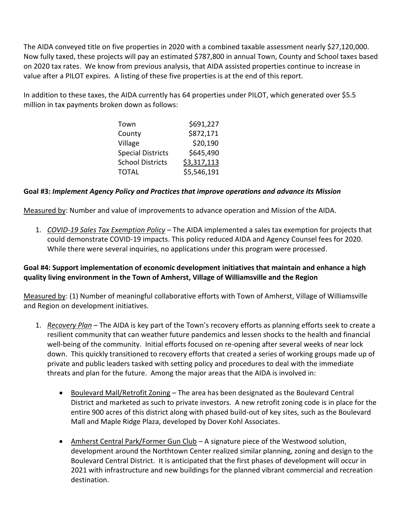The AIDA conveyed title on five properties in 2020 with a combined taxable assessment nearly \$27,120,000. Now fully taxed, these projects will pay an estimated \$787,800 in annual Town, County and School taxes based on 2020 tax rates. We know from previous analysis, that AIDA assisted properties continue to increase in value after a PILOT expires. A listing of these five properties is at the end of this report.

In addition to these taxes, the AIDA currently has 64 properties under PILOT, which generated over \$5.5 million in tax payments broken down as follows:

| Town                     | \$691,227   |
|--------------------------|-------------|
| County                   | \$872,171   |
| Village                  | \$20,190    |
| <b>Special Districts</b> | \$645,490   |
| <b>School Districts</b>  | \$3,317,113 |
| <b>TOTAL</b>             | \$5,546,191 |

## **Goal #3:** *Implement Agency Policy and Practices that improve operations and advance its Mission*

Measured by: Number and value of improvements to advance operation and Mission of the AIDA.

1. *COVID-19 Sales Tax Exemption Policy* – The AIDA implemented a sales tax exemption for projects that could demonstrate COVID-19 impacts. This policy reduced AIDA and Agency Counsel fees for 2020. While there were several inquiries, no applications under this program were processed.

## **Goal #4: Support implementation of economic development initiatives that maintain and enhance a high quality living environment in the Town of Amherst, Village of Williamsville and the Region**

Measured by: (1) Number of meaningful collaborative efforts with Town of Amherst, Village of Williamsville and Region on development initiatives.

- 1. *Recovery Plan* The AIDA is key part of the Town's recovery efforts as planning efforts seek to create a resilient community that can weather future pandemics and lessen shocks to the health and financial well-being of the community. Initial efforts focused on re-opening after several weeks of near lock down. This quickly transitioned to recovery efforts that created a series of working groups made up of private and public leaders tasked with setting policy and procedures to deal with the immediate threats and plan for the future. Among the major areas that the AIDA is involved in:
	- Boulevard Mall/Retrofit Zoning The area has been designated as the Boulevard Central District and marketed as such to private investors. A new retrofit zoning code is in place for the entire 900 acres of this district along with phased build-out of key sites, such as the Boulevard Mall and Maple Ridge Plaza, developed by Dover Kohl Associates.
	- Amherst Central Park/Former Gun Club A signature piece of the Westwood solution, development around the Northtown Center realized similar planning, zoning and design to the Boulevard Central District. It is anticipated that the first phases of development will occur in 2021 with infrastructure and new buildings for the planned vibrant commercial and recreation destination.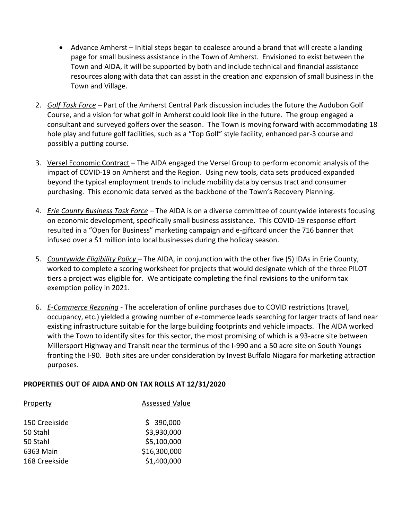- Advance Amherst Initial steps began to coalesce around a brand that will create a landing page for small business assistance in the Town of Amherst. Envisioned to exist between the Town and AIDA, it will be supported by both and include technical and financial assistance resources along with data that can assist in the creation and expansion of small business in the Town and Village.
- 2. *Golf Task Force* Part of the Amherst Central Park discussion includes the future the Audubon Golf Course, and a vision for what golf in Amherst could look like in the future. The group engaged a consultant and surveyed golfers over the season. The Town is moving forward with accommodating 18 hole play and future golf facilities, such as a "Top Golf" style facility, enhanced par-3 course and possibly a putting course.
- 3. Versel Economic Contract The AIDA engaged the Versel Group to perform economic analysis of the impact of COVID-19 on Amherst and the Region. Using new tools, data sets produced expanded beyond the typical employment trends to include mobility data by census tract and consumer purchasing. This economic data served as the backbone of the Town's Recovery Planning.
- 4. *Erie County Business Task Force* The AIDA is on a diverse committee of countywide interests focusing on economic development, specifically small business assistance. This COVID-19 response effort resulted in a "Open for Business" marketing campaign and e-giftcard under the 716 banner that infused over a \$1 million into local businesses during the holiday season.
- 5. *Countywide Eligibility Policy* The AIDA, in conjunction with the other five (5) IDAs in Erie County, worked to complete a scoring worksheet for projects that would designate which of the three PILOT tiers a project was eligible for. We anticipate completing the final revisions to the uniform tax exemption policy in 2021.
- 6. *E-Commerce Rezoning* The acceleration of online purchases due to COVID restrictions (travel, occupancy, etc.) yielded a growing number of e-commerce leads searching for larger tracts of land near existing infrastructure suitable for the large building footprints and vehicle impacts. The AIDA worked with the Town to identify sites for this sector, the most promising of which is a 93-acre site between Millersport Highway and Transit near the terminus of the I-990 and a 50 acre site on South Youngs fronting the I-90. Both sites are under consideration by Invest Buffalo Niagara for marketing attraction purposes.

## **PROPERTIES OUT OF AIDA AND ON TAX ROLLS AT 12/31/2020**

| Property      | <b>Assessed Value</b> |
|---------------|-----------------------|
| 150 Creekside | \$390,000             |
| 50 Stahl      | \$3,930,000           |
| 50 Stahl      | \$5,100,000           |
| 6363 Main     | \$16,300,000          |
| 168 Creekside | \$1,400,000           |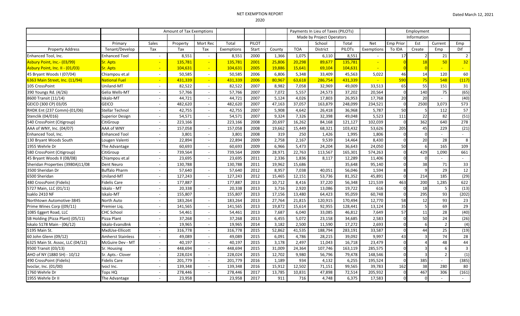# NET EXEMPTION REPORT

|                                  |                          | Amount of Tax Exemptions |          |                          |            |       |        | Payments In Lieu of Taxes (PILOTs) |                 | Employment    |            |                  |          |                |                 |
|----------------------------------|--------------------------|--------------------------|----------|--------------------------|------------|-------|--------|------------------------------------|-----------------|---------------|------------|------------------|----------|----------------|-----------------|
|                                  |                          |                          |          |                          |            |       |        | Made by Project Operators          |                 |               |            | Information      |          |                |                 |
|                                  | Primary                  | Sales                    | Property | Mort Rec                 | Total      | PILOT |        |                                    | School          | Total         | <b>Net</b> | <b>Emp Prior</b> | Est      | Current        | Emp             |
| <b>Property Address</b>          | Tenant/Develop           | Tax                      | Tax      | Tax                      | Exemptions | Start | County | <b>TOA</b>                         | <b>District</b> | <b>PILOTs</b> | Exemptions | To IDA           | Create   | Emp            | Dif             |
| Enhanced Tool, Inc.              | <b>Enhanced Tool</b>     | $\sim$                   | 8,551    |                          | 8,551      | 2000  | 1,366  | 1,075                              | 6,110           | 8,551         |            | 17               |          | 21             | $\overline{2}$  |
| Asbury Point, Inc.- (03/99)      | <b>Sr. Apts</b>          |                          | 135,781  |                          | 135,781    | 2001  | 25,806 | 20,298                             | 89,677          | 135,781       |            |                  |          | 50             | 32 <sup>°</sup> |
| Asbury Point, Inc. II - (01/03)  | <b>Sr. Apts</b>          |                          | 104,631  |                          | 104,631    | 2005  | 19,886 | 15,641                             | 69,104          | 104,631       |            |                  |          |                |                 |
| 45 Bryant Woods I (07/04)        | Chiampou et.al           | $\overline{\phantom{a}}$ | 50,585   |                          | 50,585     | 2006  | 6,806  | 5,348                              | 33,409          | 45,563        | 5,022      | 46               | 14       | 120            | 60              |
| 6363 Main Street, Inc. (11/94)   | National Fuel            |                          | 431,339  |                          | 431,339    | 2006  | 80,967 | 63,618                             | 286,754         | 431,339       |            | 590              | 75       | 548            | (117)           |
| 105 CrossPoint                   | Uniland-MT               | $\overline{\phantom{a}}$ | 82,522   | $\sim$                   | 82,522     | 2007  | 8,982  | 7,058                              | 32,969          | 49,009        | 33,513     | 65               | 55       | 151            | 31              |
| 390 Youngs Rd. (4/26)            | Gelia Wells-MT           | $\sim$                   | 57,766   | $\sim$                   | 57,766     | 2007  | 7,072  | 5,557                              | 24,573          | 37,202        | 20,564     | $\cap$           | 140      | 75             | (65)            |
| 8600 Transit (11/14)             | Iskalo-MT                | $\sim$                   | 44,721   | $\sim$                   | 44,721     | 2007  | 5,124  | 4,026                              | 17,803          | 26,953        | 17,768     | 20               | 20       | $\sim$         | (40)            |
| GEICO (300 CP) 03/05             | <b>GEICO</b>             | $\sim$                   | 482,620  | $\sim$                   | 482,620    | 2007  | 47,163 | 37,057                             | 163,879         | 248,099       | 234,521    |                  | 2500     | 3,073          | 573             |
| RHDK Ent (237 Comm)-(01/06)      | <b>Stellar Technol</b>   | $\sim$                   | 42,755   | $\blacksquare$           | 42,755     | 2007  | 5,908  | 4,642                              | 26,418          | 36,968        | 5,787      | 50               |          | 112            | 57              |
| Stenclik (04/016)                | <b>Superior Design</b>   | $\overline{\phantom{a}}$ | 54,571   |                          | 54,571     | 2007  | 9,324  | 7,326                              | 32,398          | 49,048        | 5,523      | 111              | 22       | 82             | (51)            |
| 540 CrossPoint (Citigroup)       | CitiGroup                | $\sim$                   | 223,166  |                          | 223,166    | 2008  | 20,697 | 16,262                             | 84,168          | 121,127       | 102,039    | $\Omega$         | 362      | 640            | 278             |
| AAA of WNY, Inc. (04/07)         | AAA of WNY               | $\sim$                   | 157,058  |                          | 157,058    | 2008  | 19,662 | 15,449                             | 68,321          | 103,432       | 53,626     | 205              | 45       | 229            | (21)            |
| Enhanced Tool, Inc.              | <b>Enhanced Tool</b>     | $\sim$                   | 3,801    | $\sim$                   | 3,801      | 2008  | 319    | 250                                | 1,426           | 1,995         | 1,806      |                  | $\Omega$ | $\sim$         | $\mathbf{r}$    |
| 130 Bryant Woods South           | Lougen Valenti           | $\sim$                   | 22,894   | $\sim$                   | 22,894     | 2009  | 2,758  | 2,167                              | 9,539           | 14,464        | 8,430      |                  | 20       | 28             | 8               |
| 1955 Wehrle Dr                   | The Advantage            |                          | 60,693   | $\sim$                   | 60,693     | 2009  | 6,966  | 5,473                              | 24,204          | 36,643        | 24,050     | 50               |          | 165            | 109             |
| 580 CrossPoint (Citigroup)       | CitiGroup                | $\overline{\phantom{a}}$ | 739,564  | $\sim$                   | 739,564    | 2009  | 28,971 | 22,763                             | 113,567         | 165,301       | 574,263    |                  | 429      | 1,090          | 661             |
| 45 Bryant Woods II (08/08)       | Chiampou et.al           | $\sim$                   | 23,695   | $\sim$                   | 23,695     | 2011  | 2,336  | 1,836                              | 8,117           | 12,289        | 11,406     |                  |          | $\sim$         | $\mathcal{L}$   |
| Sheridan Properties (3980A)11/08 | Dent Neuro               | $\sim$                   | 130,788  |                          | 130,788    | 2011  | 19,962 | 15,686                             |                 | 35,648        | 95,140     |                  | 38       | 71             | 33              |
| 3500 Sheridan Dr                 | <b>Buffalo Pharm</b>     | $\sim$                   | 57,640   |                          | 57,640     | 2012  | 8,957  | 7,038                              | 40,051          | 56,046        | 1,594      |                  |          | 29             | 12              |
| 6500 Sheridan                    | Uniland-MT               | $\sim$                   | 127,243  | $\sim$                   | 127,243    | 2012  | 15,465 | 12,151                             | 53,736          | 81,352        | 45,891     | $\Omega$         | 214      | 185            | (29)            |
| 480 CrossPoint (Fidelis)         | Fidelis Care             | $\sim$                   | 177,887  |                          | 177,887    | 2013  | 10,712 | 8,416                              | 37,220          | 56,348        | 121,539    | 463              | 200      | 1,285          | 622             |
| 5727 Main, LLC (01/11)           | iskalo - MT              | $\sim$                   | 20,338   | $\sim$                   | 20,338     | 2013  | 3,716  | 2,920                              | 13,086          | 19,722        | 616        | $\Omega$         | 18       | 5              | (13)            |
| Isaklo 2410 NF                   | skalo-MT                 | $\overline{\phantom{a}}$ | 155,807  |                          | 155,807    | 2013  | 17,156 | 13,480                             | 64,423          | 95,059        | 60,748     | $\Omega$         | 295      | 93             | (202)           |
| Northtown Automotive-3845        | North Auto               | $\sim$                   | 183,264  | $\sim$                   | 183,264    | 2013  | 27,764 | 21,815                             | 120,915         | 170,494       | 12,770     | 58               | 12       | 93             | 23              |
| Prime Wines Corp ((09/11)        | Premier Lig.             | $\sim$                   | 141,565  | $\sim$                   | 141,565    | 2013  | 19,872 | 15,614                             | 92,955          | 128,441       | 13,124     | 35               |          | 69             | 29              |
| 1085 Eggert Road, LLC            | <b>CHC School</b>        | $\sim$                   | 54,461   | $\sim$                   | 54,461     | 2013  | 7,687  | 6,040                              | 33,085          | 46,812        | 7,649      | 57               | 11       | 28             | (40)            |
| SB Holding (Pizza Plant) (05/11) | Pizza Plant              | $\sim$                   | 37,268   | $\overline{\phantom{a}}$ | 37,268     | 2013  | 6,455  | 5,072                              | 23,158          | 34,685        | 2,583      | $\Omega$         | 50       | 24             | (26)            |
| Iskalo 5178 Main - (06/12)       | Iskalo-EvansBnk          | $\sim$                   | 19,965   | $\sim$                   | 19,965     | 2014  | 3,182  | 2,500                              | 11,590          | 17,272        | 2,693      |                  |          | $\overline{2}$ | (4)             |
| 5195 Main St.                    | MxdUse-Ellicott          | $\overline{\phantom{a}}$ | 316,778  | $\overline{\phantom{a}}$ | 316,778    | 2015  | 52,862 | 41,535                             | 188,794         | 283,191       | 33,587     |                  | 44       | 25             | (19)            |
| 60 John Glenn (09/12)            | <b>Amherst Stainless</b> | $\sim$                   | 49,089   | $\sim$                   | 49,089     | 2015  | 6,091  | 4,786                              | 28,215          | 39,092        | 9,997      | 43               |          | 74             | 28              |
| 6325 Main St. Assoc, LLC (04/12) | McGuire Dev - MT         | $\sim$                   | 40,197   | $\sim$                   | 40,197     | 2015  | 3,178  | 2,497                              | 11,043          | 16,718        | 23,479     |                  |          | 48             | 44              |
| 9500 Transit (03/13)             | Sr. Housing              | $\sim$                   | 448,694  | $\sim$                   | 448,694    | 2015  | 31,009 | 24,364                             | 107,746         | 163,119       | 285,575    |                  |          | 6              | $\overline{3}$  |
| AHO of NY (1880 SH) - 10/12      | Sr. Apts.- Clover        | $\sim$                   | 228,024  | $\sim$                   | 228,024    | 2015  | 12,702 | 9,980                              | 56,796          | 79,478        | 148,546    |                  |          | $\overline{2}$ | (1)             |
| 490 CrossPoint (Fidelis)         | Fidelis Care             | $\sim$                   | 201,779  | $\sim$                   | 201,779    | 2016  | 1,189  | 934                                | 4,132           | 6,255         | 195,524    | $\cap$           | 385      | $\sim$         | (385)           |
| Ivoclar, Inc. (01/00)            | vocl Inc.                | $\sim$                   | 139,348  | $\sim$                   | 139,348    | 2016  | 15,912 | 12,502                             | 71,151          | 99,565        | 39,783     | 162              | 38       | 280            | 80              |
| 1760 Wehrle Dr                   | Tops HQ                  | $\sim$                   | 278,446  |                          | 278,446    | 2017  | 13,785 | 10,831                             | 47,898          | 72,514        | 205,932    | $\Omega$         | 467      | 306            | (161)           |
| 1955 Wehrle Dr II                | The Advantage            |                          | 23,958   |                          | 23,958     | 2017  | 911    | 716                                | 4,748           | 6,375         | 17,583     | $\Omega$         | $\Omega$ |                |                 |